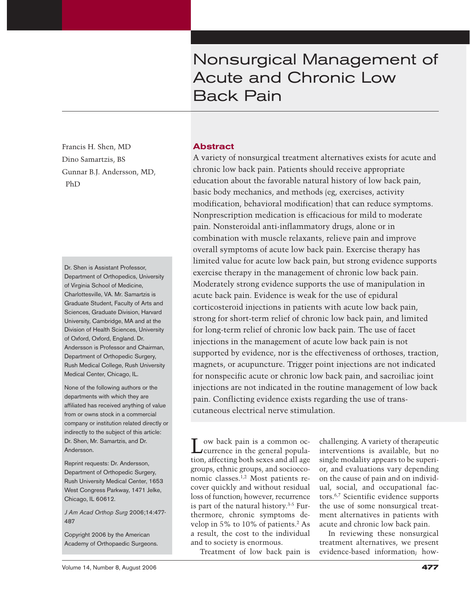# Nonsurgical Management of Acute and Chronic Low Back Pain

Francis H. Shen, MD Dino Samartzis, BS Gunnar B.J. Andersson, MD, PhD

Dr. Shen is Assistant Professor, Department of Orthopedics, University of Virginia School of Medicine, Charlottesville, VA. Mr. Samartzis is Graduate Student, Faculty of Arts and Sciences, Graduate Division, Harvard University, Cambridge, MA and at the Division of Health Sciences, University of Oxford, Oxford, England. Dr. Andersson is Professor and Chairman, Department of Orthopedic Surgery, Rush Medical College, Rush University Medical Center, Chicago, IL.

None of the following authors or the departments with which they are affiliated has received anything of value from or owns stock in a commercial company or institution related directly or indirectly to the subject of this article: Dr. Shen, Mr. Samartzis, and Dr. Andersson.

Reprint requests: Dr. Andersson, Department of Orthopedic Surgery, Rush University Medical Center, 1653 West Congress Parkway, 1471 Jelke, Chicago, IL 60612.

*J Am Acad Orthop Surg* 2006;14:477- 487

Copyright 2006 by the American Academy of Orthopaedic Surgeons.

# **Abstract**

A variety of nonsurgical treatment alternatives exists for acute and chronic low back pain. Patients should receive appropriate education about the favorable natural history of low back pain, basic body mechanics, and methods (eg, exercises, activity modification, behavioral modification) that can reduce symptoms. Nonprescription medication is efficacious for mild to moderate pain. Nonsteroidal anti-inflammatory drugs, alone or in combination with muscle relaxants, relieve pain and improve overall symptoms of acute low back pain. Exercise therapy has limited value for acute low back pain, but strong evidence supports exercise therapy in the management of chronic low back pain. Moderately strong evidence supports the use of manipulation in acute back pain. Evidence is weak for the use of epidural corticosteroid injections in patients with acute low back pain, strong for short-term relief of chronic low back pain, and limited for long-term relief of chronic low back pain. The use of facet injections in the management of acute low back pain is not supported by evidence, nor is the effectiveness of orthoses, traction, magnets, or acupuncture. Trigger point injections are not indicated for nonspecific acute or chronic low back pain, and sacroiliac joint injections are not indicated in the routine management of low back pain. Conflicting evidence exists regarding the use of transcutaneous electrical nerve stimulation.

Low back pain is a common oc-currence in the general population, affecting both sexes and all age groups, ethnic groups, and socioeconomic classes.1,2 Most patients recover quickly and without residual loss of function; however, recurrence is part of the natural history.3-5 Furthermore, chronic symptoms develop in 5% to 10% of patients.2 As a result, the cost to the individual and to society is enormous.

Treatment of low back pain is

challenging. A variety of therapeutic interventions is available, but no single modality appears to be superior, and evaluations vary depending on the cause of pain and on individual, social, and occupational factors.6,7 Scientific evidence supports the use of some nonsurgical treatment alternatives in patients with acute and chronic low back pain.

In reviewing these nonsurgical treatment alternatives, we present evidence-based information; how-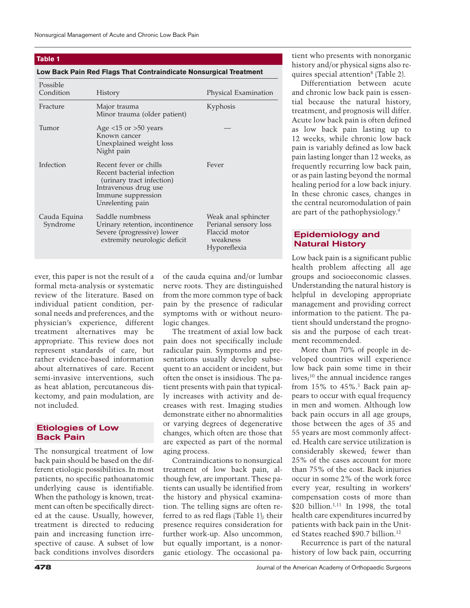#### **Table 1**

#### **Low Back Pain Red Flags That Contraindicate Nonsurgical Treatment**

| Possible<br>Condition    | History                                                                                                                                             | Physical Examination                                                                      |
|--------------------------|-----------------------------------------------------------------------------------------------------------------------------------------------------|-------------------------------------------------------------------------------------------|
| Fracture                 | Major trauma<br>Minor trauma (older patient)                                                                                                        | Kyphosis                                                                                  |
| Tumor                    | Age $<$ 15 or $>$ 50 years<br>Known cancer<br>Unexplained weight loss<br>Night pain                                                                 |                                                                                           |
| Infection                | Recent fever or chills<br>Recent bacterial infection<br>(urinary tract infection)<br>Intravenous drug use<br>Immune suppression<br>Unrelenting pain | Fever                                                                                     |
| Cauda Equina<br>Syndrome | Saddle numbness<br>Urinary retention, incontinence<br>Severe (progressive) lower<br>extremity neurologic deficit                                    | Weak anal sphincter<br>Perianal sensory loss<br>Flaccid motor<br>weakness<br>Hyporeflexia |

ever, this paper is not the result of a formal meta-analysis or systematic review of the literature. Based on individual patient condition, personal needs and preferences, and the physician's experience, different treatment alternatives may be appropriate. This review does not represent standards of care, but rather evidence-based information about alternatives of care. Recent semi-invasive interventions, such as heat ablation, percutaneous diskectomy, and pain modulation, are not included.

## **Etiologies of Low Back Pain**

The nonsurgical treatment of low back pain should be based on the different etiologic possibilities. In most patients, no specific pathoanatomic underlying cause is identifiable. When the pathology is known, treatment can often be specifically directed at the cause. Usually, however, treatment is directed to reducing pain and increasing function irrespective of cause. A subset of low back conditions involves disorders

of the cauda equina and/or lumbar nerve roots. They are distinguished from the more common type of back pain by the presence of radicular symptoms with or without neurologic changes.

The treatment of axial low back pain does not specifically include radicular pain. Symptoms and presentations usually develop subsequent to an accident or incident, but often the onset is insidious. The patient presents with pain that typically increases with activity and decreases with rest. Imaging studies demonstrate either no abnormalities or varying degrees of degenerative changes, which often are those that are expected as part of the normal aging process.

Contraindications to nonsurgical treatment of low back pain, although few, are important. These patients can usually be identified from the history and physical examination. The telling signs are often referred to as red flags (Table 1); their presence requires consideration for further work-up. Also uncommon, but equally important, is a nonorganic etiology. The occasional patient who presents with nonorganic history and/or physical signs also requires special attention<sup>8</sup> (Table 2).

Differentiation between acute and chronic low back pain is essential because the natural history, treatment, and prognosis will differ. Acute low back pain is often defined as low back pain lasting up to 12 weeks, while chronic low back pain is variably defined as low back pain lasting longer than 12 weeks, as frequently recurring low back pain, or as pain lasting beyond the normal healing period for a low back injury. In these chronic cases, changes in the central neuromodulation of pain are part of the pathophysiology.9

# **Epidemiology and Natural History**

Low back pain is a significant public health problem affecting all age groups and socioeconomic classes. Understanding the natural history is helpful in developing appropriate management and providing correct information to the patient. The patient should understand the prognosis and the purpose of each treatment recommended.

More than 70% of people in developed countries will experience low back pain some time in their lives;<sup>10</sup> the annual incidence ranges from  $15\%$  to  $45\%$ .<sup>1</sup> Back pain appears to occur with equal frequency in men and women. Although low back pain occurs in all age groups, those between the ages of 35 and 55 years are most commonly affected. Health care service utilization is considerably skewed; fewer than 25% of the cases account for more than 75% of the cost. Back injuries occur in some 2% of the work force every year, resulting in workers' compensation costs of more than \$20 billion.<sup>1,11</sup> In 1998, the total health care expenditures incurred by patients with back pain in the United States reached \$90.7 billion.12

Recurrence is part of the natural history of low back pain, occurring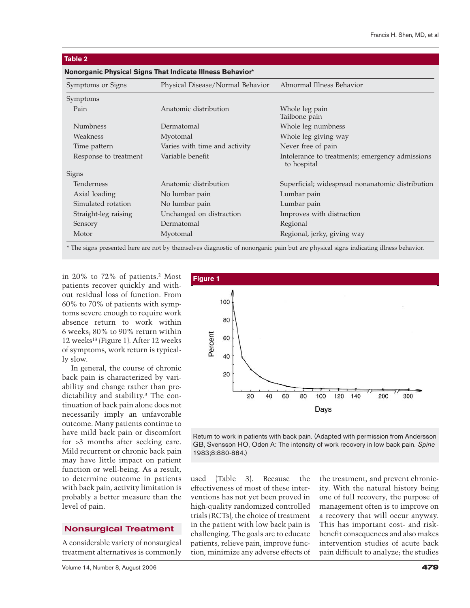| Table 2                                                   |                                  |                                                                |  |  |
|-----------------------------------------------------------|----------------------------------|----------------------------------------------------------------|--|--|
| Nonorganic Physical Signs That Indicate Illness Behavior* |                                  |                                                                |  |  |
| Symptoms or Signs                                         | Physical Disease/Normal Behavior | Abnormal Illness Behavior                                      |  |  |
| Symptoms                                                  |                                  |                                                                |  |  |
| Pain                                                      | Anatomic distribution            | Whole leg pain<br>Tailbone pain                                |  |  |
| <b>Numbness</b>                                           | Dermatomal                       | Whole leg numbness                                             |  |  |
| Weakness                                                  | Myotomal                         | Whole leg giving way                                           |  |  |
| Time pattern                                              | Varies with time and activity    | Never free of pain                                             |  |  |
| Response to treatment                                     | Variable benefit                 | Intolerance to treatments; emergency admissions<br>to hospital |  |  |
| Signs                                                     |                                  |                                                                |  |  |
| Tenderness                                                | Anatomic distribution            | Superficial; widespread nonanatomic distribution               |  |  |
| Axial loading                                             | No lumbar pain                   | Lumbar pain                                                    |  |  |
| Simulated rotation                                        | No lumbar pain                   | Lumbar pain                                                    |  |  |
| Straight-leg raising                                      | Unchanged on distraction         | Improves with distraction                                      |  |  |
| Sensory                                                   | Dermatomal                       | Regional                                                       |  |  |

Motor Myotomal Regional, jerky, giving way

#### **Table 2**

\* The signs presented here are not by themselves diagnostic of nonorganic pain but are physical signs indicating illness behavior.

in 20% to 72% of patients.2 Most patients recover quickly and without residual loss of function. From 60% to 70% of patients with symptoms severe enough to require work absence return to work within 6 weeks; 80% to 90% return within 12 weeks<sup>13</sup> (Figure 1). After 12 weeks of symptoms, work return is typically slow.

In general, the course of chronic back pain is characterized by variability and change rather than predictability and stability.3 The continuation of back pain alone does not necessarily imply an unfavorable outcome. Many patients continue to have mild back pain or discomfort for >3 months after seeking care. Mild recurrent or chronic back pain may have little impact on patient function or well-being. As a result, to determine outcome in patients with back pain, activity limitation is probably a better measure than the level of pain.

## **Nonsurgical Treatment**

A considerable variety of nonsurgical treatment alternatives is commonly



Return to work in patients with back pain. (Adapted with permission from Andersson GB, Svensson HO, Oden A: The intensity of work recovery in low back pain. *Spine* 1983;8:880-884.)

used (Table 3). Because the effectiveness of most of these interventions has not yet been proved in high-quality randomized controlled trials (RCTs), the choice of treatment in the patient with low back pain is challenging. The goals are to educate patients, relieve pain, improve function, minimize any adverse effects of the treatment, and prevent chronicity. With the natural history being one of full recovery, the purpose of management often is to improve on a recovery that will occur anyway. This has important cost- and riskbenefit consequences and also makes intervention studies of acute back pain difficult to analyze; the studies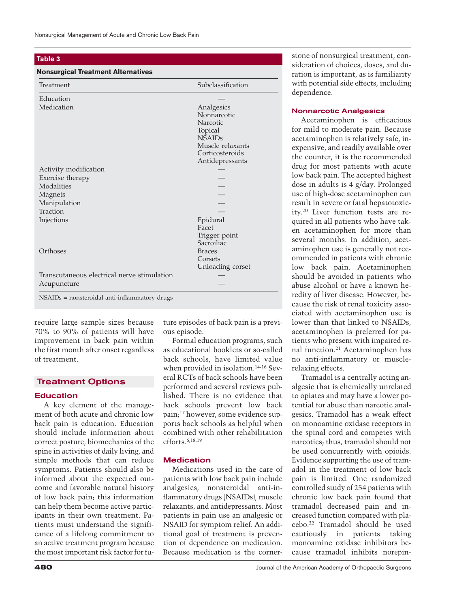## **Table 3**

## **Nonsurgical Treatment Alternatives**

| Treatment                                   | Subclassification |
|---------------------------------------------|-------------------|
| Education                                   |                   |
| Medication                                  | Analgesics        |
|                                             | Nonnarcotic       |
|                                             | Narcotic          |
|                                             | Topical           |
|                                             | <b>NSAIDs</b>     |
|                                             | Muscle relaxants  |
|                                             | Corticosteroids   |
|                                             | Antidepressants   |
| Activity modification                       |                   |
| Exercise therapy                            |                   |
| Modalities                                  |                   |
| Magnets                                     |                   |
| Manipulation                                |                   |
| Traction                                    |                   |
| Injections                                  | Epidural          |
|                                             | Facet             |
|                                             | Trigger point     |
|                                             | Sacroiliac        |
| Orthoses                                    | <b>Braces</b>     |
|                                             | Corsets           |
|                                             | Unloading corset  |
| Transcutaneous electrical nerve stimulation |                   |
| Acupuncture                                 |                   |

require large sample sizes because 70% to 90% of patients will have improvement in back pain within the first month after onset regardless of treatment.

# **Treatment Options**

#### **Education**

A key element of the management of both acute and chronic low back pain is education. Education should include information about correct posture, biomechanics of the spine in activities of daily living, and simple methods that can reduce symptoms. Patients should also be informed about the expected outcome and favorable natural history of low back pain; this information can help them become active participants in their own treatment. Patients must understand the significance of a lifelong commitment to an active treatment program because the most important risk factor for future episodes of back pain is a previous episode.

Formal education programs, such as educational booklets or so-called back schools, have limited value when provided in isolation.14-16 Several RCTs of back schools have been performed and several reviews published. There is no evidence that back schools prevent low back pain;<sup>17</sup> however, some evidence supports back schools as helpful when combined with other rehabilitation efforts.6,18,19

# **Medication**

Medications used in the care of patients with low back pain include analgesics, nonsteroidal anti-inflammatory drugs (NSAIDs), muscle relaxants, and antidepressants. Most patients in pain use an analgesic or NSAID for symptom relief. An additional goal of treatment is prevention of dependence on medication. Because medication is the cornerstone of nonsurgical treatment, consideration of choices, doses, and duration is important, as is familiarity with potential side effects, including dependence.

#### **Nonnarcotic Analgesics**

Acetaminophen is efficacious for mild to moderate pain. Because acetaminophen is relatively safe, inexpensive, and readily available over the counter, it is the recommended drug for most patients with acute low back pain. The accepted highest dose in adults is 4 g/day. Prolonged use of high-dose acetaminophen can result in severe or fatal hepatotoxicity.20 Liver function tests are required in all patients who have taken acetaminophen for more than several months. In addition, acetaminophen use is generally not recommended in patients with chronic low back pain. Acetaminophen should be avoided in patients who abuse alcohol or have a known heredity of liver disease. However, because the risk of renal toxicity associated with acetaminophen use is lower than that linked to NSAIDs, acetaminophen is preferred for patients who present with impaired renal function.21 Acetaminophen has no anti-inflammatory or musclerelaxing effects.

Tramadol is a centrally acting analgesic that is chemically unrelated to opiates and may have a lower potential for abuse than narcotic analgesics. Tramadol has a weak effect on monoamine oxidase receptors in the spinal cord and competes with narcotics; thus, tramadol should not be used concurrently with opioids. Evidence supporting the use of tramadol in the treatment of low back pain is limited. One randomized controlled study of 254 patients with chronic low back pain found that tramadol decreased pain and increased function compared with placebo.22 Tramadol should be used cautiously in patients taking monoamine oxidase inhibitors because tramadol inhibits norepin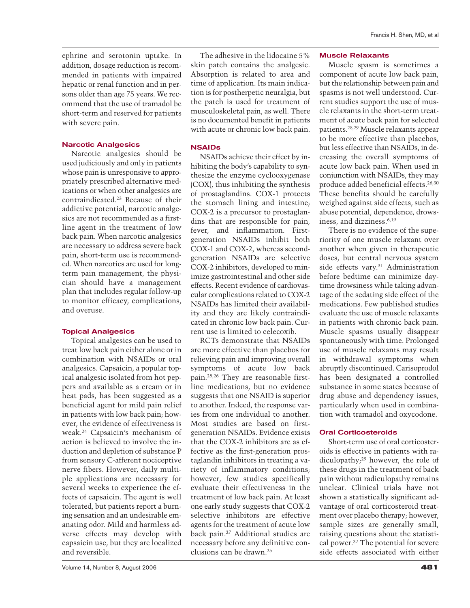ephrine and serotonin uptake. In addition, dosage reduction is recommended in patients with impaired hepatic or renal function and in persons older than age 75 years. We recommend that the use of tramadol be short-term and reserved for patients with severe pain.

# **Narcotic Analgesics**

Narcotic analgesics should be used judiciously and only in patients whose pain is unresponsive to appropriately prescribed alternative medications or when other analgesics are contraindicated.23 Because of their addictive potential, narcotic analgesics are not recommended as a firstline agent in the treatment of low back pain. When narcotic analgesics are necessary to address severe back pain, short-term use is recommended. When narcotics are used for longterm pain management, the physician should have a management plan that includes regular follow-up to monitor efficacy, complications, and overuse.

# **Topical Analgesics**

Topical analgesics can be used to treat low back pain either alone or in combination with NSAIDs or oral analgesics. Capsaicin, a popular topical analgesic isolated from hot peppers and available as a cream or in heat pads, has been suggested as a beneficial agent for mild pain relief in patients with low back pain; however, the evidence of effectiveness is weak.24 Capsaicin's mechanism of action is believed to involve the induction and depletion of substance P from sensory C-afferent nociceptive nerve fibers. However, daily multiple applications are necessary for several weeks to experience the effects of capsaicin. The agent is well tolerated, but patients report a burning sensation and an undesirable emanating odor. Mild and harmless adverse effects may develop with capsaicin use, but they are localized and reversible.

The adhesive in the lidocaine 5% skin patch contains the analgesic. Absorption is related to area and time of application. Its main indication is for postherpetic neuralgia, but the patch is used for treatment of musculoskeletal pain, as well. There is no documented benefit in patients with acute or chronic low back pain.

#### **NSAIDs**

NSAIDs achieve their effect by inhibiting the body's capability to synthesize the enzyme cyclooxygenase (COX), thus inhibiting the synthesis of prostaglandins. COX-1 protects the stomach lining and intestine; COX-2 is a precursor to prostaglandins that are responsible for pain, fever, and inflammation. Firstgeneration NSAIDs inhibit both COX-1 and COX-2, whereas secondgeneration NSAIDs are selective COX-2 inhibitors, developed to minimize gastrointestinal and other side effects. Recent evidence of cardiovascular complications related to COX-2 NSAIDs has limited their availability and they are likely contraindicated in chronic low back pain. Current use is limited to celecoxib.

RCTs demonstrate that NSAIDs are more effective than placebos for relieving pain and improving overall symptoms of acute low back pain.25,26 They are reasonable firstline medications, but no evidence suggests that one NSAID is superior to another. Indeed, the response varies from one individual to another. Most studies are based on firstgeneration NSAIDs. Evidence exists that the COX-2 inhibitors are as effective as the first-generation prostaglandin inhibitors in treating a variety of inflammatory conditions; however, few studies specifically evaluate their effectiveness in the treatment of low back pain. At least one early study suggests that COX-2 selective inhibitors are effective agents for the treatment of acute low back pain.27 Additional studies are necessary before any definitive conclusions can be drawn.25

#### **Muscle Relaxants**

Muscle spasm is sometimes a component of acute low back pain, but the relationship between pain and spasms is not well understood. Current studies support the use of muscle relaxants in the short-term treatment of acute back pain for selected patients.28,29 Muscle relaxants appear to be more effective than placebos, but less effective than NSAIDs, in decreasing the overall symptoms of acute low back pain. When used in conjunction with NSAIDs, they may produce added beneficial effects.26,30 These benefits should be carefully weighed against side effects, such as abuse potential, dependence, drowsiness, and dizziness.6,19

There is no evidence of the superiority of one muscle relaxant over another when given in therapeutic doses, but central nervous system side effects vary.<sup>31</sup> Administration before bedtime can minimize daytime drowsiness while taking advantage of the sedating side effect of the medications. Few published studies evaluate the use of muscle relaxants in patients with chronic back pain. Muscle spasms usually disappear spontaneously with time. Prolonged use of muscle relaxants may result in withdrawal symptoms when abruptly discontinued. Carisoprodol has been designated a controlled substance in some states because of drug abuse and dependency issues, particularly when used in combination with tramadol and oxycodone.

#### **Oral Corticosteroids**

Short-term use of oral corticosteroids is effective in patients with radiculopathy;<sup>29</sup> however, the role of these drugs in the treatment of back pain without radiculopathy remains unclear. Clinical trials have not shown a statistically significant advantage of oral corticosteroid treatment over placebo therapy; however, sample sizes are generally small, raising questions about the statistical power.32 The potential for severe side effects associated with either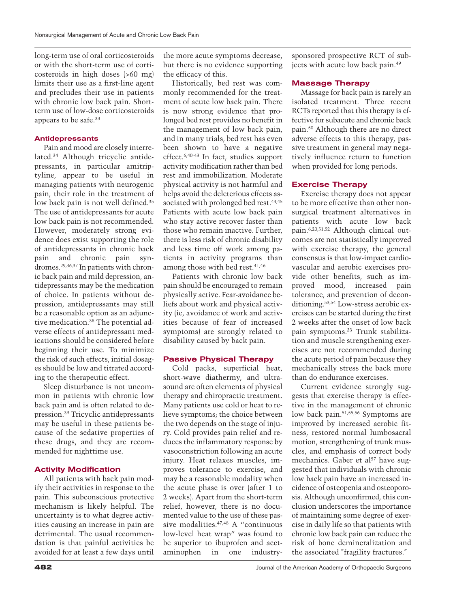long-term use of oral corticosteroids or with the short-term use of corticosteroids in high doses (>60 mg) limits their use as a first-line agent and precludes their use in patients with chronic low back pain. Shortterm use of low-dose corticosteroids appears to be safe.33

#### **Antidepressants**

Pain and mood are closely interrelated.34 Although tricyclic antidepressants, in particular amitriptyline, appear to be useful in managing patients with neurogenic pain, their role in the treatment of low back pain is not well defined.<sup>35</sup> The use of antidepressants for acute low back pain is not recommended. However, moderately strong evidence does exist supporting the role of antidepressants in chronic back pain and chronic pain syndromes.29,36,37 In patients with chronic back pain and mild depression, antidepressants may be the medication of choice. In patients without depression, antidepressants may still be a reasonable option as an adjunctive medication.38 The potential adverse effects of antidepressant medications should be considered before beginning their use. To minimize the risk of such effects, initial dosages should be low and titrated according to the therapeutic effect.

Sleep disturbance is not uncommon in patients with chronic low back pain and is often related to depression.39 Tricyclic antidepressants may be useful in these patients because of the sedative properties of these drugs, and they are recommended for nighttime use.

## **Activity Modification**

All patients with back pain modify their activities in response to the pain. This subconscious protective mechanism is likely helpful. The uncertainty is to what degree activities causing an increase in pain are detrimental. The usual recommendation is that painful activities be avoided for at least a few days until

the more acute symptoms decrease, but there is no evidence supporting the efficacy of this.

Historically, bed rest was commonly recommended for the treatment of acute low back pain. There is now strong evidence that prolonged bed rest provides no benefit in the management of low back pain, and in many trials, bed rest has even been shown to have a negative effect.6,40-43 In fact, studies support activity modification rather than bed rest and immobilization. Moderate physical activity is not harmful and helps avoid the deleterious effects associated with prolonged bed rest.<sup>44,45</sup> Patients with acute low back pain who stay active recover faster than those who remain inactive. Further, there is less risk of chronic disability and less time off work among patients in activity programs than among those with bed rest.<sup>41,46</sup>

Patients with chronic low back pain should be encouraged to remain physically active. Fear-avoidance beliefs about work and physical activity (ie, avoidance of work and activities because of fear of increased symptoms) are strongly related to disability caused by back pain.

# **Passive Physical Therapy**

Cold packs, superficial heat, short-wave diathermy, and ultrasound are often elements of physical therapy and chiropractic treatment. Many patients use cold or heat to relieve symptoms; the choice between the two depends on the stage of injury. Cold provides pain relief and reduces the inflammatory response by vasoconstriction following an acute injury. Heat relaxes muscles, improves tolerance to exercise, and may be a reasonable modality when the acute phase is over (after 1 to 2 weeks). Apart from the short-term relief, however, there is no documented value to the use of these passive modalities.47,48 A "continuous low-level heat wrap" was found to be superior to ibuprofen and acetaminophen in one industrysponsored prospective RCT of subjects with acute low back pain.49

#### **Massage Therapy**

Massage for back pain is rarely an isolated treatment. Three recent RCTs reported that this therapy is effective for subacute and chronic back pain.50 Although there are no direct adverse effects to this therapy, passive treatment in general may negatively influence return to function when provided for long periods.

#### **Exercise Therapy**

Exercise therapy does not appear to be more effective than other nonsurgical treatment alternatives in patients with acute low back pain.6,20,51,52 Although clinical outcomes are not statistically improved with exercise therapy, the general consensus is that low-impact cardiovascular and aerobic exercises provide other benefits, such as improved mood, increased pain tolerance, and prevention of deconditioning.53,54 Low-stress aerobic exercises can be started during the first 2 weeks after the onset of low back pain symptoms.33 Trunk stabilization and muscle strengthening exercises are not recommended during the acute period of pain because they mechanically stress the back more than do endurance exercises.

Current evidence strongly suggests that exercise therapy is effective in the management of chronic low back pain.51,55,56 Symptoms are improved by increased aerobic fitness, restored normal lumbosacral motion, strengthening of trunk muscles, and emphasis of correct body mechanics. Gaber et al<sup>57</sup> have suggested that individuals with chronic low back pain have an increased incidence of osteopenia and osteoporosis. Although unconfirmed, this conclusion underscores the importance of maintaining some degree of exercise in daily life so that patients with chronic low back pain can reduce the risk of bone demineralization and the associated ″fragility fractures.″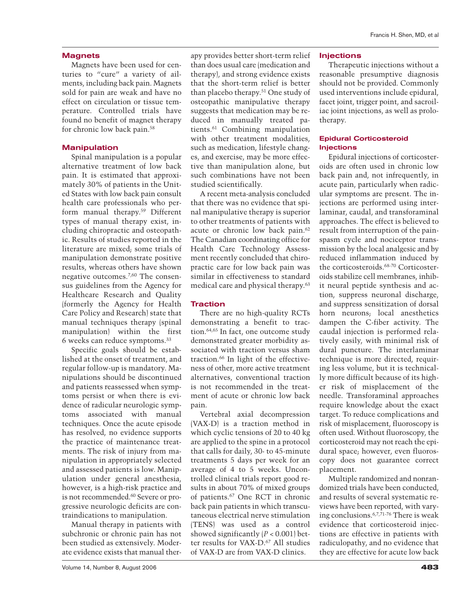## **Magnets**

Magnets have been used for centuries to "cure" a variety of ailments, including back pain. Magnets sold for pain are weak and have no effect on circulation or tissue temperature. Controlled trials have found no benefit of magnet therapy for chronic low back pain.58

## **Manipulation**

Spinal manipulation is a popular alternative treatment of low back pain. It is estimated that approximately 30% of patients in the United States with low back pain consult health care professionals who perform manual therapy.59 Different types of manual therapy exist, including chiropractic and osteopathic. Results of studies reported in the literature are mixed; some trials of manipulation demonstrate positive results, whereas others have shown negative outcomes.7,60 The consensus guidelines from the Agency for Healthcare Research and Quality (formerly the Agency for Health Care Policy and Research) state that manual techniques therapy (spinal manipulation) within the first 6 weeks can reduce symptoms.33

Specific goals should be established at the onset of treatment, and regular follow-up is mandatory. Manipulations should be discontinued and patients reassessed when symptoms persist or when there is evidence of radicular neurologic symptoms associated with manual techniques. Once the acute episode has resolved, no evidence supports the practice of maintenance treatments. The risk of injury from manipulation in appropriately selected and assessed patients is low. Manipulation under general anesthesia, however, is a high-risk practice and is not recommended.60 Severe or progressive neurologic deficits are contraindications to manipulation.

Manual therapy in patients with subchronic or chronic pain has not been studied as extensively. Moderate evidence exists that manual ther-

apy provides better short-term relief than does usual care (medication and therapy), and strong evidence exists that the short-term relief is better than placebo therapy.51 One study of osteopathic manipulative therapy suggests that medication may be reduced in manually treated patients.61 Combining manipulation with other treatment modalities, such as medication, lifestyle changes, and exercise, may be more effective than manipulation alone, but such combinations have not been studied scientifically.

A recent meta-analysis concluded that there was no evidence that spinal manipulative therapy is superior to other treatments of patients with acute or chronic low back pain.62 The Canadian coordinating office for Health Care Technology Assessment recently concluded that chiropractic care for low back pain was similar in effectiveness to standard medical care and physical therapy.63

## **Traction**

There are no high-quality RCTs demonstrating a benefit to traction.64,65 In fact, one outcome study demonstrated greater morbidity associated with traction versus sham traction.66 In light of the effectiveness of other, more active treatment alternatives, conventional traction is not recommended in the treatment of acute or chronic low back pain.

Vertebral axial decompression (VAX-D) is a traction method in which cyclic tensions of 20 to 40 kg are applied to the spine in a protocol that calls for daily, 30- to 45-minute treatments 5 days per week for an average of 4 to 5 weeks. Uncontrolled clinical trials report good results in about 70% of mixed groups of patients.67 One RCT in chronic back pain patients in which transcutaneous electrical nerve stimulation (TENS) was used as a control showed significantly  $(P < 0.001)$  better results for VAX-D.<sup>67</sup> All studies of VAX-D are from VAX-D clinics.

Therapeutic injections without a reasonable presumptive diagnosis should not be provided. Commonly used interventions include epidural, facet joint, trigger point, and sacroiliac joint injections, as well as prolotherapy.

## **Epidural Corticosteroid Injections**

Epidural injections of corticosteroids are often used in chronic low back pain and, not infrequently, in acute pain, particularly when radicular symptoms are present. The injections are performed using interlaminar, caudal, and transforaminal approaches. The effect is believed to result from interruption of the painspasm cycle and nociceptor transmission by the local analgesic and by reduced inflammation induced by the corticosteroids.68-70 Corticosteroids stabilize cell membranes, inhibit neural peptide synthesis and action, suppress neuronal discharge, and suppress sensitization of dorsal horn neurons; local anesthetics dampen the C-fiber activity. The caudal injection is performed relatively easily, with minimal risk of dural puncture. The interlaminar technique is more directed, requiring less volume, but it is technically more difficult because of its higher risk of misplacement of the needle. Transforaminal approaches require knowledge about the exact target. To reduce complications and risk of misplacement, fluoroscopy is often used. Without fluoroscopy, the corticosteroid may not reach the epidural space; however, even fluoroscopy does not guarantee correct placement.

Multiple randomized and nonrandomized trials have been conducted, and results of several systematic reviews have been reported, with varying conclusions.6,7,71-76 There is weak evidence that corticosteroid injections are effective in patients with radiculopathy, and no evidence that they are effective for acute low back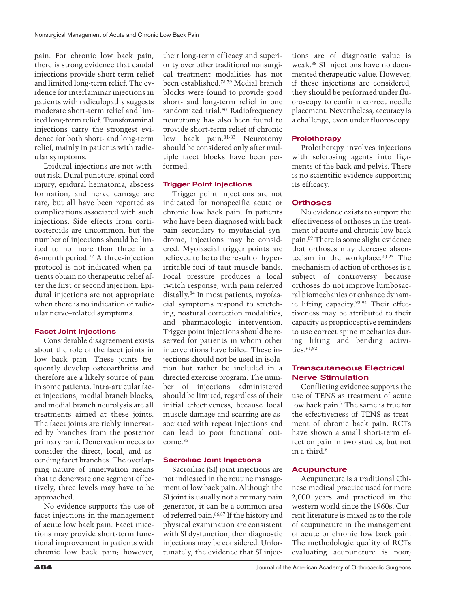pain. For chronic low back pain, there is strong evidence that caudal injections provide short-term relief and limited long-term relief. The evidence for interlaminar injections in patients with radiculopathy suggests moderate short-term relief and limited long-term relief. Transforaminal injections carry the strongest evidence for both short- and long-term relief, mainly in patients with radicular symptoms.

Epidural injections are not without risk. Dural puncture, spinal cord injury, epidural hematoma, abscess formation, and nerve damage are rare, but all have been reported as complications associated with such injections. Side effects from corticosteroids are uncommon, but the number of injections should be limited to no more than three in a 6-month period.77 A three-injection protocol is not indicated when patients obtain no therapeutic relief after the first or second injection. Epidural injections are not appropriate when there is no indication of radicular nerve–related symptoms.

#### **Facet Joint Injections**

Considerable disagreement exists about the role of the facet joints in low back pain. These joints frequently develop osteoarthritis and therefore are a likely source of pain in some patients. Intra-articular facet injections, medial branch blocks, and medial branch neurolysis are all treatments aimed at these joints. The facet joints are richly innervated by branches from the posterior primary rami. Denervation needs to consider the direct, local, and ascending facet branches. The overlapping nature of innervation means that to denervate one segment effectively, three levels may have to be approached.

No evidence supports the use of facet injections in the management of acute low back pain. Facet injections may provide short-term functional improvement in patients with chronic low back pain; however,

their long-term efficacy and superiority over other traditional nonsurgical treatment modalities has not been established.78,79 Medial branch blocks were found to provide good short- and long-term relief in one randomized trial.80 Radiofrequency neurotomy has also been found to provide short-term relief of chronic low back pain.81-83 Neurotomy should be considered only after multiple facet blocks have been performed.

#### **Trigger Point Injections**

Trigger point injections are not indicated for nonspecific acute or chronic low back pain. In patients who have been diagnosed with back pain secondary to myofascial syndrome, injections may be considered. Myofascial trigger points are believed to be to the result of hyperirritable foci of taut muscle bands. Focal pressure produces a local twitch response, with pain referred distally.84 In most patients, myofascial symptoms respond to stretching, postural correction modalities, and pharmacologic intervention. Trigger point injections should be reserved for patients in whom other interventions have failed. These injections should not be used in isolation but rather be included in a directed exercise program. The number of injections administered should be limited, regardless of their initial effectiveness, because local muscle damage and scarring are associated with repeat injections and can lead to poor functional outcome.<sup>85</sup>

## **Sacroiliac Joint Injections**

Sacroiliac (SI) joint injections are not indicated in the routine management of low back pain. Although the SI joint is usually not a primary pain generator, it can be a common area of referred pain.86,87 If the history and physical examination are consistent with SI dysfunction, then diagnostic injections may be considered. Unfortunately, the evidence that SI injections are of diagnostic value is weak.88 SI injections have no documented therapeutic value. However, if these injections are considered, they should be performed under fluoroscopy to confirm correct needle placement. Nevertheless, accuracy is a challenge, even under fluoroscopy.

#### **Prolotherapy**

Prolotherapy involves injections with sclerosing agents into ligaments of the back and pelvis. There is no scientific evidence supporting its efficacy.

#### **Orthoses**

No evidence exists to support the effectiveness of orthoses in the treatment of acute and chronic low back pain.89 There is some slight evidence that orthoses may decrease absenteeism in the workplace.90-93 The mechanism of action of orthoses is a subject of controversy because orthoses do not improve lumbosacral biomechanics or enhance dynamic lifting capacity.93,94 Their effectiveness may be attributed to their capacity as proprioceptive reminders to use correct spine mechanics during lifting and bending activities.<sup>91,92</sup>

## **Transcutaneous Electrical Nerve Stimulation**

Conflicting evidence supports the use of TENS as treatment of acute low back pain.7 The same is true for the effectiveness of TENS as treatment of chronic back pain. RCTs have shown a small short-term effect on pain in two studies, but not in a third.6

## **Acupuncture**

Acupuncture is a traditional Chinese medical practice used for more 2,000 years and practiced in the western world since the 1960s. Current literature is mixed as to the role of acupuncture in the management of acute or chronic low back pain. The methodologic quality of RCTs evaluating acupuncture is poor;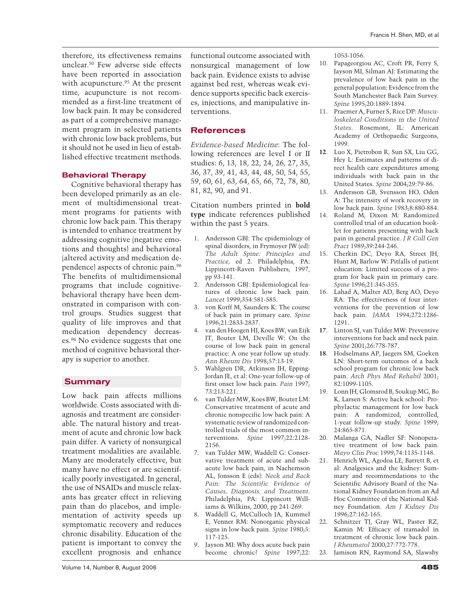therefore, its effectiveness remains unclear.50 Few adverse side effects have been reported in association with acupuncture.<sup>95</sup> At the present time, acupuncture is not recommended as a first-line treatment of low back pain. It may be considered as part of a comprehensive management program in selected patients with chronic low back problems, but it should not be used in lieu of established effective treatment methods.

# **Behavioral Therapy**

Cognitive behavioral therapy has been developed primarily as an element of multidimensional treatment programs for patients with chronic low back pain. This therapy is intended to enhance treatment by addressing cognitive (negative emotions and thoughts) and behavioral (altered activity and medication dependence) aspects of chronic pain.96 The benefits of multidimensional programs that include cognitivebehavioral therapy have been demonstrated in comparison with control groups. Studies suggest that quality of life improves and that medication dependency decreases.96 No evidence suggests that one method of cognitive behavioral therapy is superior to another.

# **Summary**

Low back pain affects millions worldwide. Costs associated with diagnosis and treatment are considerable. The natural history and treatment of acute and chronic low back pain differ. A variety of nonsurgical treatment modalities are available. Many are moderately effective, but many have no effect or are scientifically poorly investigated. In general, the use of NSAIDs and muscle relaxants has greater effect in relieving pain than do placebos, and implementation of activity speeds up symptomatic recovery and reduces chronic disability. Education of the patient is important to convey the excellent prognosis and enhance functional outcome associated with nonsurgical management of low back pain. Evidence exists to advise against bed rest, whereas weak evidence supports specific back exercises, injections, and manipulative interventions.

# **References**

*Evidence-based Medicine*: The following references are level I or II studies: 6, 13, 18, 22, 24, 26, 27, 35, 36, 37, 39, 41, 43, 44, 48, 50, 54, 55, 59, 60, 61, 63, 64, 65, 66, 72, 78, 80, 81, 82, 90, and 91.

Citation numbers printed in **bold type** indicate references published within the past 5 years.

- 1. Andersson GBJ: The epidemiology of spinal disorders, in Frymoyer JW (ed): *The Adult Spine: Principles and Practice*, ed 2. Philadelphia, PA: Lippincott-Raven Publishers, 1997, pp 93-141.
- 2. Andersson GBJ: Epidemiological features of chronic low back pain. *Lancet* 1999;354:581-585.
- 3. von Korff M, Saunders K: The course of back pain in primary care. *Spine* 1996;21:2833-2837.
- 4. van den Hoogen HJ, Koes BW, van Eijk JT, Bouter LM, Deville W: On the course of low back pain in general practice: A one year follow up study. *Ann Rheum Dis* 1998;57:13-19.
- 5. Wahlgren DR, Atkinson JH, Epping-Jordan JE, et al: One-year follow-up of first onset low back pain. *Pain* 1997; 73:213-221.
- 6. van Tulder MW, Koes BW, Bouter LM: Conservative treatment of acute and chronic nonspecific low back pain: A systematic review of randomized controlled trials of the most common interventions. *Spine* 1997;22:2128- 2156.
- 7. van Tulder MW, Waddell G: Conservative treatment of acute and subacute low back pain, in Nachemson AL, Jonsson E (eds): *Neck and Back Pain: The Scientific Evidence of Causes, Diagnosis, and Treatment*. Philadelphia, PA: Lippincott Williams & Wilkins, 2000, pp 241-269.
- 8. Waddell G, McCulloch JA, Kummel E, Venner RM: Nonorganic physical signs in low-back pain. *Spine* 1980;5: 117-125.
- 9. Jayson MI: Why does acute back pain become chronic? *Spine* 1997;22:

1053-1056.

- 10. Papageorgiou AC, Croft PR, Ferry S, Jayson MI, Silman AJ: Estimating the prevalence of low back pain in the general population: Evidence from the South Manchester Back Pain Survey. *Spine* 1995;20:1889-1894.
- 11. Praemer A, Furner S, Rice DP: *Musculoskeletal Conditions in the United States*. Rosemont, IL: American Academy of Orthopaedic Surgeons, 1999.
- **12**. Luo X, Pietrobon R, Sun SX, Liu GG, Hey L: Estimates and patterns of direct health care expenditures among individuals with back pain in the United States. *Spine* 2004;29:79-86.
- 13. Andersson GB, Svensson HO, Oden A: The intensity of work recovery in low back pain. *Spine* 1983;8:880-884.
- 14. Roland M, Dixon M: Randomized controlled trial of an education booklet for patients presenting with back pain in general practice. *J R Coll Gen Pract* 1989;39:244-246.
- 15. Cherkin DC, Deyo RA, Street JH, Hunt M, Barlow W: Pitfalls of patient education: Limited success of a program for back pain in primary care. *Spine* 1996;21:345-355.
- 16. Lahad A, Malter AD, Berg AO, Deyo RA: The effectiveness of four interventions for the prevention of low back pain. *JAMA* 1994;272:1286- 1291.
- **17**. Linton SJ, van Tulder MW: Preventive interventions for back and neck pain. *Spine* 2001;26:778-787.
- **18**. Hodselmans AP, Jaegers SM, Goeken LN: Short-term outcomes of a back school program for chronic low back pain. *Arch Phys Med Rehabil* 2001; 82:1099-1105.
- 19. Lonn JH, Glomsrod B, Soukup MG, Bo K, Larsen S: Active back school: Prophylactic management for low back pain: A randomized, controlled, 1-year follow-up study. *Spine* 1999; 24:865-871.
- 20. Malanga GA, Nadler SF: Nonoperative treatment of low back pain. *Mayo Clin Proc* 1999;74:1135-1148.
- 21. Henrich WL, Agodoa LE, Barrett B, et al: Analgesics and the kidney: Summary and recommendations to the Scientific Advisory Board of the National Kidney Foundation from an Ad Hoc Committee of the National Kidney Foundation. *Am J Kidney Dis* 1996;27:162-165.
- 22. Schnitzer TJ, Gray WL, Paster RZ, Kamin M: Efficacy of tramadol in treatment of chronic low back pain. *J Rheumatol* 2000;27:772-778.
- 23. Jamison RN, Raymond SA, Slawsby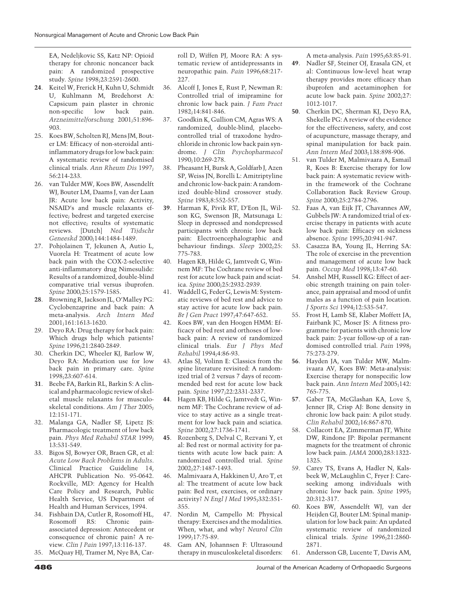EA, Nedeljkovic SS, Katz NP: Opioid therapy for chronic noncancer back pain: A randomized prospective study. *Spine* 1998;23:2591-2600.

- **24**. Keitel W, Frerick H, Kuhn U, Schmidt U, Kuhlmann M, Bredehorst A: Capsicum pain plaster in chronic non-specific low back pain. *Arzneimittelforschung* 2001;51:896- 903.
- 25. Koes BW, Scholten RJ, Mens JM, Bouter LM: Efficacy of non-steroidal antiinflammatory drugs for low back pain: A systematic review of randomised clinical trials. *Ann Rheum Dis* 1997; 56:214-233.
- 26. van Tulder MW, Koes BW, Assendelft WJ, Bouter LM, Daams J, van der Laan JR: Acute low back pain: Activity, NSAID's and muscle relaxants effective; bedrest and targeted exercise not effective; results of systematic reviews. [Dutch] *Ned Tijdschr Geneeskd* 2000;144:1484-1489.
- 27. Pohjolainen T, Jekunen A, Autio L, Vuorela H: Treatment of acute low back pain with the COX-2-selective anti-inflammatory drug Nimesulide: Results of a randomized, double-blind comparative trial versus ibuprofen. *Spine* 2000;25:1579-1585.
- **28**. Browning R, Jackson JL, O'Malley PG: Cyclobenzaprine and back pain: A meta-analysis. *Arch Intern Med* 2001;161:1613-1620.
- 29. Deyo RA: Drug therapy for back pain: Which drugs help which patients? *Spine* 1996;21:2840-2849.
- 30. Cherkin DC, Wheeler KJ, Barlow W, Deyo RA: Medication use for low back pain in primary care. *Spine* 1998;23:607-614.
- **31**. Beebe FA, Barkin RL, Barkin S: A clinical and pharmacologic review of skeletal muscle relaxants for musculoskeletal conditions. *Am J Ther* 2005; 12:151-171.
- 32. Malanga GA, Nadler SF, Lipetz JS: Pharmacologic treatment of low back pain. *Phys Med Rehabil STAR* 1999; 13:531-549.
- 33. Bigos SJ, Bowyer OR, Braen GR, et al: *Acute Low Back Problems in Adults*. Clinical Practice Guideline 14, AHCPR Publication No. 95-0642. Rockville, MD: Agency for Health Care Policy and Research, Public Health Service, US Department of Health and Human Services, 1994.
- 34. Fishbain DA, Cutler R, Rosomoff HL, Rosomoff RS: Chronic painassociated depression: Antecedent or consequence of chronic pain? A review. *Clin J Pain* 1997;13:116-137.
- 35. McQuay HJ, Tramer M, Nye BA, Car-

roll D, Wiffen PJ, Moore RA: A systematic review of antidepressants in neuropathic pain. *Pain* 1996;68:217- 227.

- 36. Alcoff J, Jones E, Rust P, Newman R: Controlled trial of imipramine for chronic low back pain. *J Fam Pract* 1982;14:841-846.
- 37. Goodkin K, Gullion CM, Agras WS: A randomized, double-blind, placebocontrolled trial of traxodone hydrochloride in chronic low back pain syndrome. *J Clin Psychopharmacol* 1990;10:269-278.
- 38. Pheasant H, Bursk A, Goldfarb J, Azen SP, Weiss JN, Borelli L: Amitriptyline and chronic low-back pain: A randomized double-blind crossover study. *Spine* 1983;8:552-557.
- **39**. Harman K, Pivik RT, D'Eon JL, Wilson KG, Swenson JR, Matsunaga L: Sleep in depressed and nondepressed participants with chronic low back pain: Electroencephalographic and behaviour findings. *Sleep* 2002;25: 775-783.
- 40. Hagen KB, Hilde G, Jamtvedt G, Winnem MF: The Cochrane review of bed rest for acute low back pain and sciatica. *Spine* 2000;25:2932-2939.
- 41. Waddell G, Feder G, LewisM: Systematic reviews of bed rest and advice to stay active for acute low back pain. *Br J Gen Pract* 1997;47:647-652.
- 42. Koes BW, van den Hoogen HMM: Efficacy of bed rest and orthoses of lowback pain: A review of randomized clinical trials. *Eur J Phys Med Rehabil* 1994;4:86-93.
- 43. Atlas SJ, Volinn E: Classics from the spine literature revisited: A randomized trial of 2 versus 7 days of recommended bed rest for acute low back pain. *Spine* 1997;22:2331-2337.
- **44**. Hagen KB, Hilde G, Jamtvedt G, Winnem MF: The Cochrane review of advice to stay active as a single treatment for low back pain and sciatica. *Spine* 2002;27:1736-1741.
- **45**. Rozenberg S, Delval C, Rezvani Y, et al: Bed rest or normal activity for patients with acute low back pain: A randomized controlled trial. *Spine* 2002;27:1487-1493.
- 46. Malmivaara A, Hakkinen U, Aro T, et al: The treatment of acute low back pain: Bed rest, exercises, or ordinary activity? *N Engl J Med* 1995;332:351- 355.
- 47. Nordin M, Campello M: Physical therapy: Exercises and the modalities. When, what, and why? *Neurol Clin* 1999;17:75-89.
- 48. Gam AN, Johannsen F: Ultrasound therapy in musculoskeletal disorders:

A meta-analysis. *Pain* 1995;63:85-91.

- **49**. Nadler SF, Steiner OJ, Erasala GN, et al: Continuous low-level heat wrap therapy provides more efficacy than ibuprofen and acetaminophen for acute low back pain. *Spine* 2002;27: 1012-1017.
- **50**. Cherkin DC, Sherman KJ, Deyo RA, Shekelle PG: A review of the evidence for the effectiveness, safety, and cost of acupuncture, massage therapy, and spinal manipulation for back pain. *Ann Intern Med* 2003;138:898-906.
- 51. van Tulder M, Malmivaara A, Esmail R, Koes B: Exercise therapy for low back pain: A systematic review within the framework of the Cochrane Collaboration Back Review Group. *Spine* 2000;25:2784-2796.
- 52. Faas A, van Eijk JT, Chavannes AW, Gubbels JW: A randomized trial of exercise therapy in patients with acute low back pain: Efficacy on sickness absence. *Spine* 1995;20:941-947.
- 53. Casazza BA, Young JL, Herring SA: The role of exercise in the prevention and management of acute low back pain. *Occup Med* 1998;13:47-60.
- 54. Anshel MH, Russell KG: Effect of aerobic strength training on pain tolerance, pain appraisal and mood of unfit males as a function of pain location. *J Sports Sci* 1994;12:535-547.
- 55. Frost H, Lamb SE, Klaber Moffett JA, Fairbank JC, Moser JS: A fitness programme for patients with chronic low back pain: 2-year follow-up of a randomised controlled trial. *Pain* 1998; 75:273-279.
- **56**. Hayden JA, van Tulder MW, Malmivaara AV, Koes BW: Meta-analysis: Exercise therapy for nonspecific low back pain. *Ann Intern Med* 2005;142: 765-775.
- **57**. Gaber TA, McGlashan KA, Love S, Jenner JR, Crisp AJ: Bone density in chronic low back pain: A pilot study. *Clin Rehabil* 2002;16:867-870.
- 58. Collacott EA, Zimmerman JT, White DW, Rindone JP: Bipolar permanent magnets for the treatment of chronic low back pain. *JAMA* 2000;283:1322- 1325.
- 59. Carey TS, Evans A, Hadler N, Kalsbeek W, McLaughlin C, Fryer J: Careseeking among individuals with chronic low back pain. *Spine* 1995; 20:312-317.
- 60. Koes BW, Assendelft WJ, van der Heijden GJ, Bouter LM: Spinal manipulation for low back pain: An updated systematic review of randomized clinical trials. *Spine* 1996;21:2860- 2871.
- 61. Andersson GB, Lucente T, Davis AM,